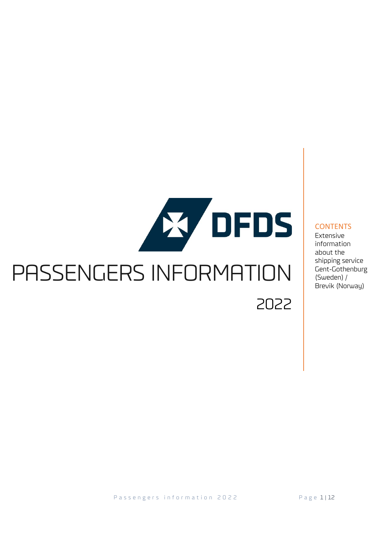# **X DFDS** PASSENGERS INFORMATION 2022

#### **CONTENTS**

Extensive information about the shipping service Gent-Gothenburg (Sweden) / Brevik (Norway)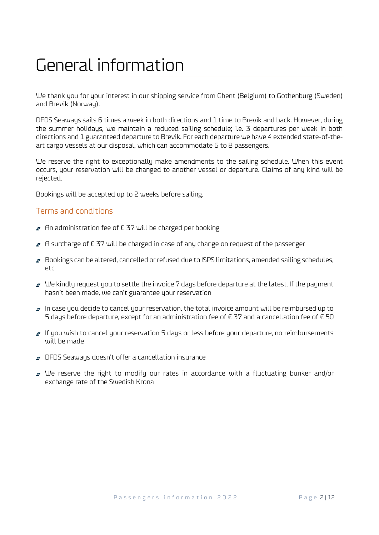### General information

We thank you for your interest in our shipping service from Ghent (Belgium) to Gothenburg (Sweden) and Brevik (Norway).

DFDS Seaways sails 6 times a week in both directions and 1 time to Brevik and back. However, during the summer holidays, we maintain a reduced sailing schedule; i.e. 3 departures per week in both directions and 1 guaranteed departure to Brevik. For each departure we have 4 extended state-of-theart cargo vessels at our disposal, which can accommodate 6 to 8 passengers.

We reserve the right to exceptionally make amendments to the sailing schedule. When this event occurs, your reservation will be changed to another vessel or departure. Claims of any kind will be rejected.

Bookings will be accepted up to 2 weeks before sailing.

#### Terms and conditions

- $\sigma$  An administration fee of € 37 will be charged per booking
- A surcharge of € 37 will be charged in case of any change on request of the passenger
- $\sigma$  Bookings can be altered, cancelled or refused due to ISPS limitations, amended sailing schedules, etc
- $\sigma$  We kindly request you to settle the invoice 7 days before departure at the latest. If the payment hasn't been made, we can't guarantee your reservation
- $\sigma$  In case you decide to cancel your reservation, the total invoice amount will be reimbursed up to 5 days before departure, except for an administration fee of € 37 and a cancellation fee of € 50
- $I$  If you wish to cancel your reservation 5 days or less before your departure, no reimbursements will be made
- $\sigma$  DFDS Seaways doesn't offer a cancellation insurance
- $\sigma$  We reserve the right to modify our rates in accordance with a fluctuating bunker and/or exchange rate of the Swedish Krona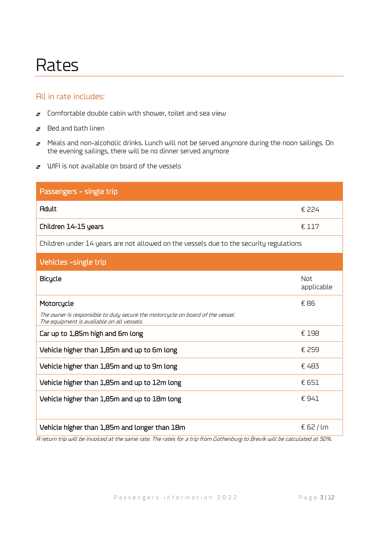### Rates

### All in rate includes:

- $\sigma$  Comfortable double cabin with shower, toilet and sea view
- $\sigma$  Bed and bath linen
- $\sigma$  Meals and non-alcoholic drinks. Lunch will not be served anymore during the noon sailings. On the evening sailings, there will be no dinner served anymore
- $\sigma$  WIFI is not available on board of the vessels

| Passengers - single trip                                                                                                     |                   |
|------------------------------------------------------------------------------------------------------------------------------|-------------------|
| <b>Adult</b>                                                                                                                 | € 224             |
| Children 14-15 years                                                                                                         | € 117             |
| Children under 14 years are not allowed on the vessels due to the security regulations                                       |                   |
| Vehicles -single trip                                                                                                        |                   |
| Bicycle                                                                                                                      | Not<br>applicable |
| Motorcycle                                                                                                                   | € 86              |
| The owner is responsible to duly secure the motorcycle on board of the vessel.<br>The equipment is available on all vessels. |                   |
| Car up to 1,85m high and 6m long                                                                                             | € 198             |
| Vehicle higher than 1,85m and up to 6m long                                                                                  | € 259             |
| Vehicle higher than 1,85m and up to 9m long                                                                                  | €483              |
| Vehicle higher than 1,85m and up to 12m long                                                                                 | € 651             |
| Vehicle higher than 1,85m and up to 18m long                                                                                 | €941              |
| Vehicle higher than 1,85m and longer than 18m                                                                                | € 62 / lm         |

A return trip will be invoiced at the same rate. The rates for a trip from Gothenburg to Brevik will be calculated at 50%.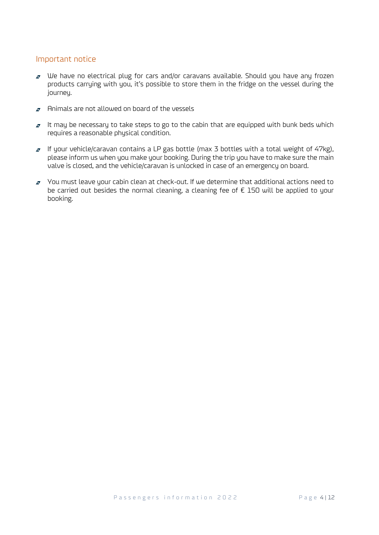#### Important notice

- $\sigma$  We have no electrical plug for cars and/or caravans available. Should you have any frozen products carrying with you, it's possible to store them in the fridge on the vessel during the journey.
- $\sigma$  Animals are not allowed on board of the vessels
- $\sigma$  It may be necessary to take steps to go to the cabin that are equipped with bunk beds which requires a reasonable physical condition.
- $I$  If your vehicle/caravan contains a LP gas bottle (max 3 bottles with a total weight of 47kg), please inform us when you make your booking. During the trip you have to make sure the main valve is closed, and the vehicle/caravan is unlocked in case of an emergency on board.
- $\sigma$  You must leave your cabin clean at check-out. If we determine that additional actions need to be carried out besides the normal cleaning, a cleaning fee of  $\epsilon$  150 will be applied to your booking.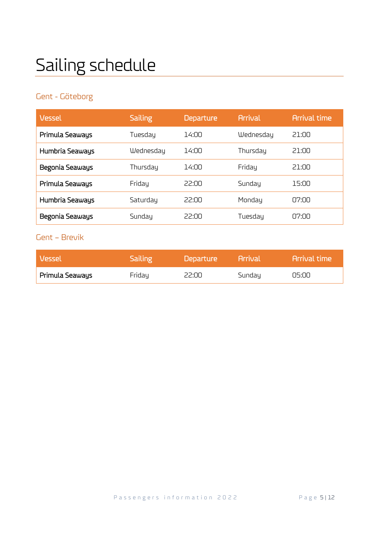## Sailing schedule

### Gent - Göteborg

| Vessel          | <b>Sailing</b> | <b>Departure</b> | <b>Arrival</b> | <b>Arrival time</b> |
|-----------------|----------------|------------------|----------------|---------------------|
| Primula Seaways | Tuesday        | 14:00            | Wednesday      | 21:NO               |
| Humbria Seaways | Wednesday      | 14:00            | Thursday       | 21:NO               |
| Begonia Seaways | Thursday       | 14:00            | Friday         | 21:NO               |
| Primula Seaways | Friday         | 22:00            | Sundau         | 15:00               |
| Humbria Seaways | Saturday       | 22:00            | Mondau         | 07:00               |
| Begonia Seaways | Sunday         | 22:00            | Tuesday        | nz·nn               |

### Gent – Brevik

| Vessel          | Sailing ! | Departure | <b>Arrival</b> | <b>Arrival time</b> |
|-----------------|-----------|-----------|----------------|---------------------|
| Primula Seaways | Friday    | 22:00     | Sunday         | 05:00               |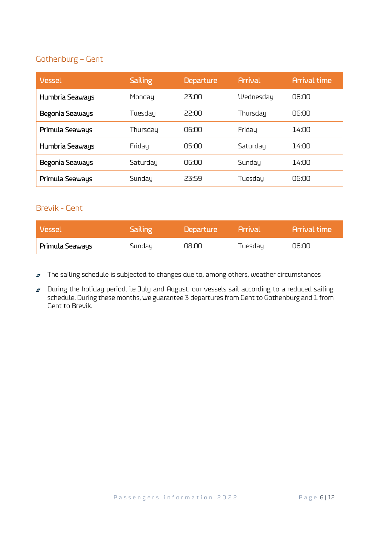### Gothenburg – Gent

| Vessel          | <b>Sailing</b> | <b>Departure</b> | <b>Arrival</b> | <b>Arrival time</b> |
|-----------------|----------------|------------------|----------------|---------------------|
| Humbria Seaways | Mondau         | 23:00            | Wednesday      | 06:00               |
| Begonia Seaways | Tuesday        | 22:00            | Thursday       | 06:00               |
| Primula Seaways | Thursday       | 06:00            | Friday         | 14:00               |
| Humbria Seaways | Friday         | N5:NO            | Saturday       | 14:กก               |
| Begonia Seaways | Saturday       | NG:NO            | Sunday         | 14:00               |
| Primula Seaways | Sundau         | 23:59            | Tuesday        | 06:00               |

### Brevik - Gent

| <b>Vessel</b>   | <b>Sailing</b> | Departure | <b>Arrival</b> | l Arrival time l |
|-----------------|----------------|-----------|----------------|------------------|
| Primula Seaways | Sunday         | 08:00     | Tuesday        | 06:00            |

 $\sigma$  The sailing schedule is subjected to changes due to, among others, weather circumstances

**During the holiday period, i.e July and August, our vessels sail according to a reduced sailing** schedule. During these months, we guarantee 3 departures from Gent to Gothenburg and 1 from Gent to Brevik.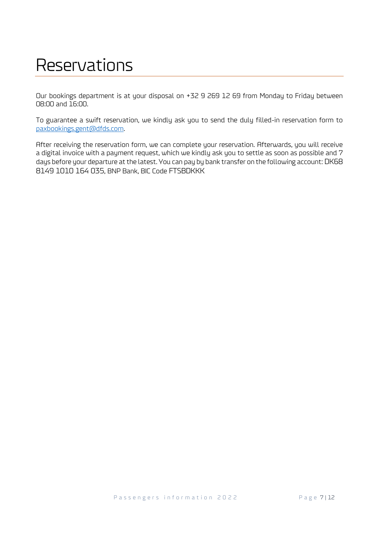### Reservations

Our bookings department is at your disposal on +32 9 269 12 69 from Monday to Friday between 08:00 and 16:00.

To guarantee a swift reservation, we kindly ask you to send the duly filled-in reservation form to [paxbookings.gent@dfds.com.](mailto:paxbookings.gent@dfds.com)

After receiving the reservation form, we can complete your reservation. Afterwards, you will receive a digital invoice with a payment request, which we kindly ask you to settle as soon as possible and 7 days before your departure at the latest. You can pay by bank transfer on the following account: DK68 8149 1010 164 035, BNP Bank, BIC Code FTSBDKKK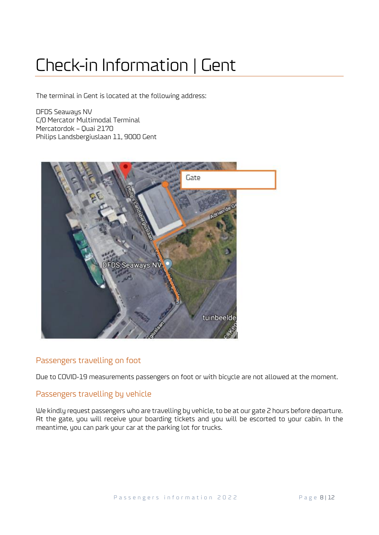### Check-in Information | Gent

The terminal in Gent is located at the following address:

DFDS Seaways NV C/0 Mercator Multimodal Terminal Mercatordok – Quai 2170 Philips Landsbergiuslaan 11, 9000 Gent



#### Passengers travelling on foot

Due to COVID-19 measurements passengers on foot or with bicycle are not allowed at the moment.

#### Passengers travelling by vehicle

We kindly request passengers who are travelling by vehicle, to be at our gate 2 hours before departure. At the gate, you will receive your boarding tickets and you will be escorted to your cabin. In the meantime, you can park your car at the parking lot for trucks.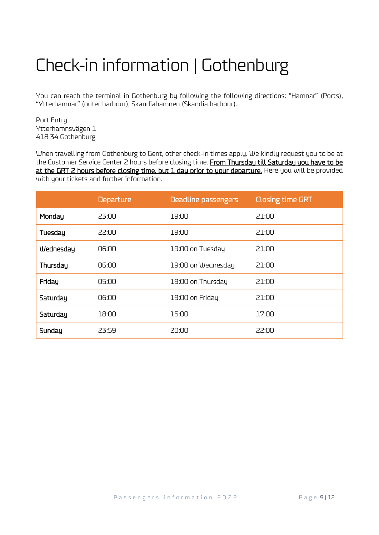### Check-in information | Gothenburg

You can reach the terminal in Gothenburg by following the following directions: "Hamnar" (Ports), "Ytterhamnar" (outer harbour), Skandiahamnen (Skandia harbour)..

Port Entry Ytterhamnsvägen 1 418 34 Gothenburg

When travelling from Gothenburg to Gent, other check-in times apply. We kindly request you to be at the Customer Service Center 2 hours before closing time. From Thursday till Saturday you have to be at the GRT 2 hours before closing time, but 1 day prior to your departure. Here you will be provided with your tickets and further information.

|           | <b>Departure</b> | Deadline passengers | <b>Closing time GRT</b> |
|-----------|------------------|---------------------|-------------------------|
| Monday    | 23:00            | חח:פו               | 21:00                   |
| Tuesday   | 22:00            | 19:00               | 21:00                   |
| Wednesday | 06:00            | 19:00 on Tuesday    | 21:00                   |
| Thursday  | 06:00            | 19:00 on Wednesday  | 21:00                   |
| Friday    | 05:00            | 19:00 on Thursday   | 21:00                   |
| Saturday  | 06:00            | 19:00 on Friday     | 21:00                   |
| Saturday  | 18:00            | 15:00.              | 17:00                   |
| Sunday    | 23:59            | 20:00               | 22:00                   |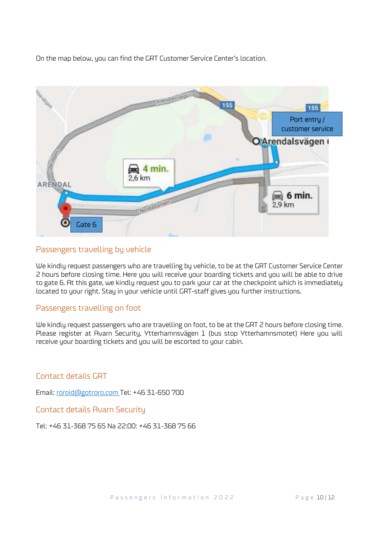On the map below, you can find the GRT Customer Service Center's location.



### Passengers travelling by vehicle

We kindly request passengers who are travelling by vehicle, to be at the GRT Customer Service Center 2 hours before closing time. Here you will receive your boarding tickets and you will be able to drive to gate 6. At this gate, we kindly request you to park your car at the checkpoint which is immediately located to your right. Stay in your vehicle until GRT-staff gives you further instructions.

#### Passengers travelling on foot

We kindly request passengers who are travelling on foot, to be at the GRT 2 hours before closing time. Please register at Avarn Security, Ytterhamnsvägen 1 (bus stop Ytterhamnsmotet) Here you will receive your boarding tickets and you will be escorted to your cabin.

#### Contact details GRT

Email: [roroid@gotroro.com](mailto:roroid@gotroro.com) Tel: +46 31-650 700

Contact details Avarn Security

Tel: +46 31-368 75 65 Na 22:00: +46 31-368 75 66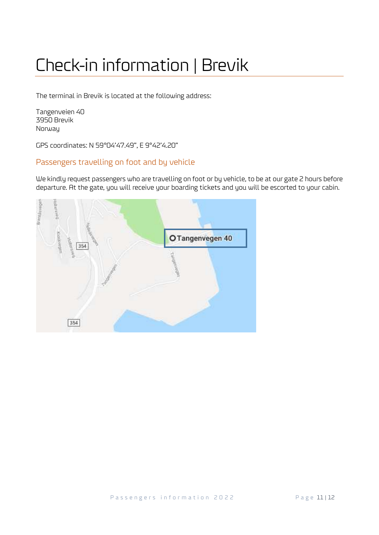### Check-in information | Brevik

The terminal in Brevik is located at the following address:

Tangenveien 40 3950 Brevik Norway

GPS coordinates: N 59°04'47.49", E 9°42'4.20"

### Passengers travelling on foot and by vehicle

We kindly request passengers who are travelling on foot or by vehicle, to be at our gate 2 hours before departure. At the gate, you will receive your boarding tickets and you will be escorted to your cabin.